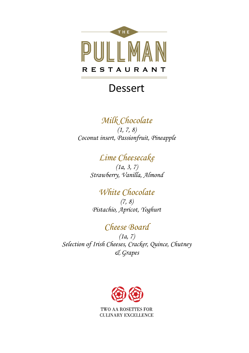

## Dessert

## *Milk Chocolate*

*(1, 7, 8) Coconut insert, Passionfruit, Pineapple* 

## *Lime Cheesecake*

*(1a, 3, 7) Strawberry, Vanilla, Almond* 

#### *White Chocolate (7, 8) Pistachio, Apricot, Yoghurt*

### *Cheese Board*

*(1a, 7) Selection of Irish Cheeses, Cracker, Quince, Chutney & Grapes*

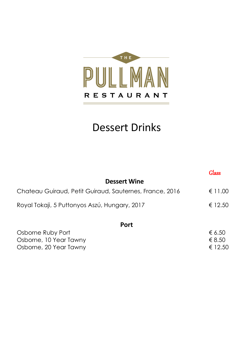

# Dessert Drinks

|                                                         | Glass   |
|---------------------------------------------------------|---------|
| <b>Dessert Wine</b>                                     |         |
| Chateau Guiraud, Petit Guiraud, Sauternes, France, 2016 | € 11.00 |
| Royal Tokaji, 5 Puttonyos Aszú, Hungary, 2017           | € 12.50 |
| Port                                                    |         |
| Osborne Ruby Port                                       | € 6.50  |

| USDUITE RUDY LUIT      | $\epsilon$ 0.00 |
|------------------------|-----------------|
| Osborne, 10 Year Tawny | € 8.50          |
| Osborne, 20 Year Tawny | € 12.50         |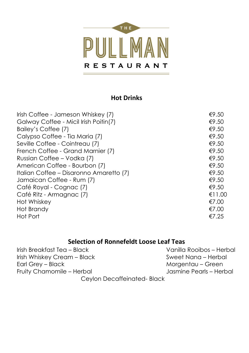

#### **Hot Drinks**

| Irish Coffee - Jameson Whiskey (7)      | €9.50  |
|-----------------------------------------|--------|
| Galway Coffee - Micil Irish Poitin(7)   | €9.50  |
| Bailey's Coffee (7)                     | €9.50  |
| Calypso Coffee - Tia Maria (7)          | €9.50  |
| Seville Coffee - Cointreau (7)          | €9.50  |
| French Coffee - Grand Marnier (7)       | €9.50  |
| Russian Coffee - Vodka (7)              | €9.50  |
| American Coffee - Bourbon (7)           | €9.50  |
| Italian Coffee - Disaronno Amaretto (7) | €9.50  |
| Jamaican Coffee - Rum (7)               | €9.50  |
| Café Royal - Cognac (7)                 | €9.50  |
| Café Ritz - Armagnac (7)                | €11.00 |
| Hot Whiskey                             | €7.00  |
| Hot Brandy                              | €7.00  |
| Hot Port                                | €7.25  |
|                                         |        |

#### **Selection of Ronnefeldt Loose Leaf Teas**

| Irish Breakfast Tea – Black | Vanilla Rooibos - Herbal |
|-----------------------------|--------------------------|
| Irish Whiskey Cream - Black | Sweet Nana – Herbal      |
| Earl Grey - Black           | Morgentau – Green        |
| Fruity Chamomile – Herbal   | Jasmine Pearls - Herbal  |
| Ceylon Decaffeinated-Black  |                          |